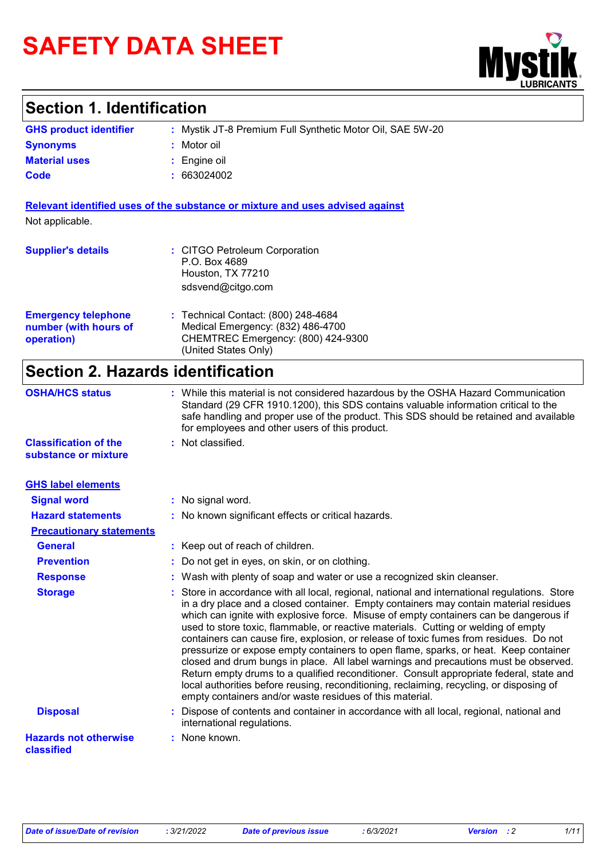# **SAFETY DATA SHEET**



# **Section 1. Identification**

| <b>GHS product identifier</b> | : Mystik JT-8 Premium Full Synthetic Motor Oil, SAE 5W-20 |
|-------------------------------|-----------------------------------------------------------|
| <b>Synonyms</b>               | : Motor oil                                               |
| <b>Material uses</b>          | $\therefore$ Engine oil                                   |
| Code                          | : 663024002                                               |

**Relevant identified uses of the substance or mixture and uses advised against** Not applicable.

| <b>Supplier's details</b>                                         | : CITGO Petroleum Corporation<br>P.O. Box 4689<br>Houston, TX 77210<br>sdsvend@citgo.com                                               |
|-------------------------------------------------------------------|----------------------------------------------------------------------------------------------------------------------------------------|
| <b>Emergency telephone</b><br>number (with hours of<br>operation) | : Technical Contact: (800) 248-4684<br>Medical Emergency: (832) 486-4700<br>CHEMTREC Emergency: (800) 424-9300<br>(United States Only) |

# **Section 2. Hazards identification**

| <b>OSHA/HCS status</b>                               | : While this material is not considered hazardous by the OSHA Hazard Communication<br>Standard (29 CFR 1910.1200), this SDS contains valuable information critical to the<br>safe handling and proper use of the product. This SDS should be retained and available<br>for employees and other users of this product.                                                                                                                                                                                                                                                                                                                                                                                                                                                                                                                                                                           |
|------------------------------------------------------|-------------------------------------------------------------------------------------------------------------------------------------------------------------------------------------------------------------------------------------------------------------------------------------------------------------------------------------------------------------------------------------------------------------------------------------------------------------------------------------------------------------------------------------------------------------------------------------------------------------------------------------------------------------------------------------------------------------------------------------------------------------------------------------------------------------------------------------------------------------------------------------------------|
| <b>Classification of the</b><br>substance or mixture | : Not classified.                                                                                                                                                                                                                                                                                                                                                                                                                                                                                                                                                                                                                                                                                                                                                                                                                                                                               |
| <b>GHS label elements</b>                            |                                                                                                                                                                                                                                                                                                                                                                                                                                                                                                                                                                                                                                                                                                                                                                                                                                                                                                 |
| <b>Signal word</b>                                   | : No signal word.                                                                                                                                                                                                                                                                                                                                                                                                                                                                                                                                                                                                                                                                                                                                                                                                                                                                               |
| <b>Hazard statements</b>                             | : No known significant effects or critical hazards.                                                                                                                                                                                                                                                                                                                                                                                                                                                                                                                                                                                                                                                                                                                                                                                                                                             |
| <b>Precautionary statements</b>                      |                                                                                                                                                                                                                                                                                                                                                                                                                                                                                                                                                                                                                                                                                                                                                                                                                                                                                                 |
| <b>General</b>                                       | : Keep out of reach of children.                                                                                                                                                                                                                                                                                                                                                                                                                                                                                                                                                                                                                                                                                                                                                                                                                                                                |
| <b>Prevention</b>                                    | Do not get in eyes, on skin, or on clothing.                                                                                                                                                                                                                                                                                                                                                                                                                                                                                                                                                                                                                                                                                                                                                                                                                                                    |
| <b>Response</b>                                      | Wash with plenty of soap and water or use a recognized skin cleanser.                                                                                                                                                                                                                                                                                                                                                                                                                                                                                                                                                                                                                                                                                                                                                                                                                           |
| <b>Storage</b>                                       | Store in accordance with all local, regional, national and international regulations. Store<br>in a dry place and a closed container. Empty containers may contain material residues<br>which can ignite with explosive force. Misuse of empty containers can be dangerous if<br>used to store toxic, flammable, or reactive materials. Cutting or welding of empty<br>containers can cause fire, explosion, or release of toxic fumes from residues. Do not<br>pressurize or expose empty containers to open flame, sparks, or heat. Keep container<br>closed and drum bungs in place. All label warnings and precautions must be observed.<br>Return empty drums to a qualified reconditioner. Consult appropriate federal, state and<br>local authorities before reusing, reconditioning, reclaiming, recycling, or disposing of<br>empty containers and/or waste residues of this material. |
| <b>Disposal</b>                                      | : Dispose of contents and container in accordance with all local, regional, national and<br>international regulations.                                                                                                                                                                                                                                                                                                                                                                                                                                                                                                                                                                                                                                                                                                                                                                          |
| <b>Hazards not otherwise</b><br>classified           | : None known.                                                                                                                                                                                                                                                                                                                                                                                                                                                                                                                                                                                                                                                                                                                                                                                                                                                                                   |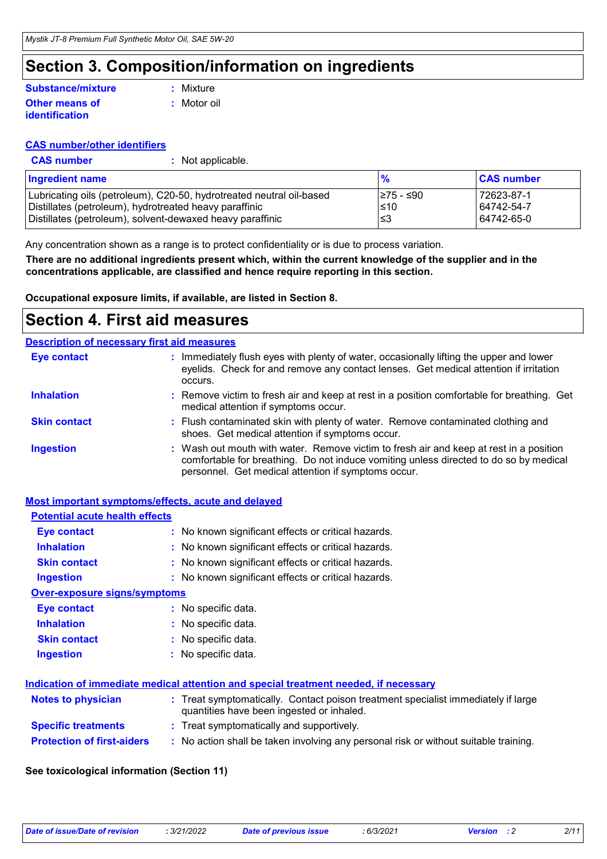# **Section 3. Composition/information on ingredients**

### **Other means of identification Substance/mixture**

**:** Motor oil **:** Mixture

- **CAS number/other identifiers**
- Lubricating oils (petroleum), C20-50, hydrotreated neutral oil-based <br>Distillates (petroleum), hydrotreated heavy paraffinic<br>
210 64742-54-7 Distillates (petroleum), hydrotreated heavy paraffinic  $\vert$  ≤10 Distillates (petroleum), solvent-dewaxed heavy paraffinic  $\vert$  ≤3 64742-65-0 **Ingredient name % CAS number CAS number :** Not applicable.

Any concentration shown as a range is to protect confidentiality or is due to process variation.

**There are no additional ingredients present which, within the current knowledge of the supplier and in the concentrations applicable, are classified and hence require reporting in this section.**

**Occupational exposure limits, if available, are listed in Section 8.**

## **Section 4. First aid measures**

|                     | <b>Description of necessary first aid measures</b>                                                                                                                                                                                     |
|---------------------|----------------------------------------------------------------------------------------------------------------------------------------------------------------------------------------------------------------------------------------|
| <b>Eye contact</b>  | : Immediately flush eyes with plenty of water, occasionally lifting the upper and lower<br>eyelids. Check for and remove any contact lenses. Get medical attention if irritation<br>occurs.                                            |
| <b>Inhalation</b>   | : Remove victim to fresh air and keep at rest in a position comfortable for breathing. Get<br>medical attention if symptoms occur.                                                                                                     |
| <b>Skin contact</b> | : Flush contaminated skin with plenty of water. Remove contaminated clothing and<br>shoes. Get medical attention if symptoms occur.                                                                                                    |
| <b>Ingestion</b>    | : Wash out mouth with water. Remove victim to fresh air and keep at rest in a position<br>comfortable for breathing. Do not induce vomiting unless directed to do so by medical<br>personnel. Get medical attention if symptoms occur. |

## **Most important symptoms/effects, acute and delayed**

| <b>Potential acute health effects</b> |                                                                                                                                |
|---------------------------------------|--------------------------------------------------------------------------------------------------------------------------------|
| Eye contact                           | : No known significant effects or critical hazards.                                                                            |
| <b>Inhalation</b>                     | : No known significant effects or critical hazards.                                                                            |
| <b>Skin contact</b>                   | : No known significant effects or critical hazards.                                                                            |
| <b>Ingestion</b>                      | : No known significant effects or critical hazards.                                                                            |
| <b>Over-exposure signs/symptoms</b>   |                                                                                                                                |
| Eye contact                           | : No specific data.                                                                                                            |
| <b>Inhalation</b>                     | : No specific data.                                                                                                            |
| <b>Skin contact</b>                   | : No specific data.                                                                                                            |
| <b>Ingestion</b>                      | $:$ No specific data.                                                                                                          |
|                                       |                                                                                                                                |
|                                       | Indication of immediate medical attention and special treatment needed, if necessary                                           |
| <b>Notes to physician</b>             | : Treat symptomatically. Contact poison treatment specialist immediately if large<br>quantities have been ingested or inhaled. |
| <b>Specific treatments</b>            | : Treat symptomatically and supportively.                                                                                      |
| <b>Protection of first-aiders</b>     | : No action shall be taken involving any personal risk or without suitable training.                                           |

### **See toxicological information (Section 11)**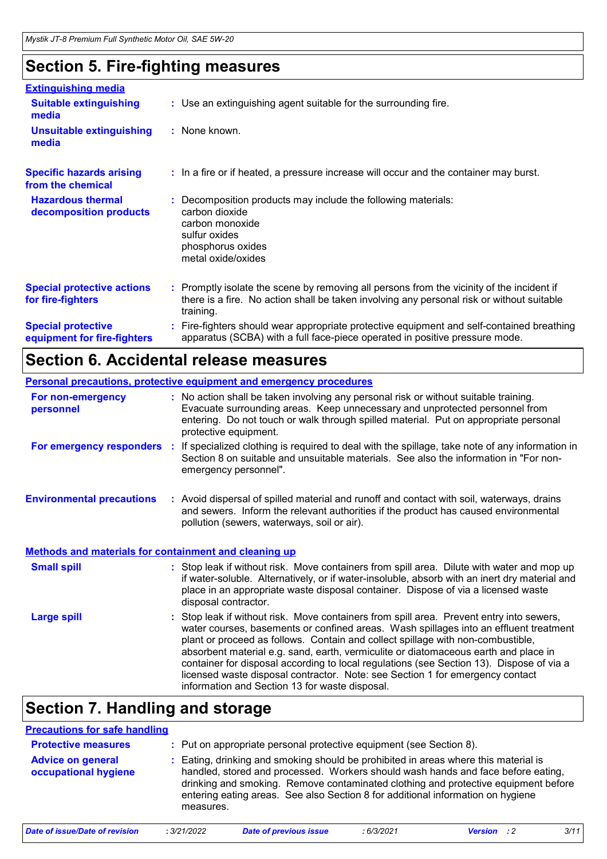# **Section 5. Fire-fighting measures**

| <b>Extinguishing media</b>                               |                                                                                                                                                                                                     |
|----------------------------------------------------------|-----------------------------------------------------------------------------------------------------------------------------------------------------------------------------------------------------|
| <b>Suitable extinguishing</b><br>media                   | : Use an extinguishing agent suitable for the surrounding fire.                                                                                                                                     |
| <b>Unsuitable extinguishing</b><br>media                 | : None known.                                                                                                                                                                                       |
| <b>Specific hazards arising</b><br>from the chemical     | : In a fire or if heated, a pressure increase will occur and the container may burst.                                                                                                               |
| <b>Hazardous thermal</b><br>decomposition products       | Decomposition products may include the following materials:<br>carbon dioxide<br>carbon monoxide<br>sulfur oxides<br>phosphorus oxides<br>metal oxide/oxides                                        |
| <b>Special protective actions</b><br>for fire-fighters   | : Promptly isolate the scene by removing all persons from the vicinity of the incident if<br>there is a fire. No action shall be taken involving any personal risk or without suitable<br>training. |
| <b>Special protective</b><br>equipment for fire-fighters | Fire-fighters should wear appropriate protective equipment and self-contained breathing<br>apparatus (SCBA) with a full face-piece operated in positive pressure mode.                              |

# **Section 6. Accidental release measures**

|                                                              | Personal precautions, protective equipment and emergency procedures                                                                                                                                                                                                                                                                                                                                                                                                                                                                                                                      |
|--------------------------------------------------------------|------------------------------------------------------------------------------------------------------------------------------------------------------------------------------------------------------------------------------------------------------------------------------------------------------------------------------------------------------------------------------------------------------------------------------------------------------------------------------------------------------------------------------------------------------------------------------------------|
| For non-emergency<br>personnel                               | : No action shall be taken involving any personal risk or without suitable training.<br>Evacuate surrounding areas. Keep unnecessary and unprotected personnel from<br>entering. Do not touch or walk through spilled material. Put on appropriate personal<br>protective equipment.                                                                                                                                                                                                                                                                                                     |
| For emergency responders :                                   | If specialized clothing is required to deal with the spillage, take note of any information in<br>Section 8 on suitable and unsuitable materials. See also the information in "For non-<br>emergency personnel".                                                                                                                                                                                                                                                                                                                                                                         |
| <b>Environmental precautions</b>                             | : Avoid dispersal of spilled material and runoff and contact with soil, waterways, drains<br>and sewers. Inform the relevant authorities if the product has caused environmental<br>pollution (sewers, waterways, soil or air).                                                                                                                                                                                                                                                                                                                                                          |
| <b>Methods and materials for containment and cleaning up</b> |                                                                                                                                                                                                                                                                                                                                                                                                                                                                                                                                                                                          |
| <b>Small spill</b>                                           | : Stop leak if without risk. Move containers from spill area. Dilute with water and mop up<br>if water-soluble. Alternatively, or if water-insoluble, absorb with an inert dry material and<br>place in an appropriate waste disposal container. Dispose of via a licensed waste<br>disposal contractor.                                                                                                                                                                                                                                                                                 |
| <b>Large spill</b>                                           | Stop leak if without risk. Move containers from spill area. Prevent entry into sewers,<br>water courses, basements or confined areas. Wash spillages into an effluent treatment<br>plant or proceed as follows. Contain and collect spillage with non-combustible,<br>absorbent material e.g. sand, earth, vermiculite or diatomaceous earth and place in<br>container for disposal according to local regulations (see Section 13). Dispose of via a<br>licensed waste disposal contractor. Note: see Section 1 for emergency contact<br>information and Section 13 for waste disposal. |

# **Section 7. Handling and storage**

| <b>Precautions for safe handling</b>             |             |                                                                                                                                                                                                                                                                                                                                                               |           |                             |      |  |
|--------------------------------------------------|-------------|---------------------------------------------------------------------------------------------------------------------------------------------------------------------------------------------------------------------------------------------------------------------------------------------------------------------------------------------------------------|-----------|-----------------------------|------|--|
| <b>Protective measures</b>                       |             | : Put on appropriate personal protective equipment (see Section 8).                                                                                                                                                                                                                                                                                           |           |                             |      |  |
| <b>Advice on general</b><br>occupational hygiene |             | : Eating, drinking and smoking should be prohibited in areas where this material is<br>handled, stored and processed. Workers should wash hands and face before eating,<br>drinking and smoking. Remove contaminated clothing and protective equipment before<br>entering eating areas. See also Section 8 for additional information on hygiene<br>measures. |           |                             |      |  |
| Date of issue/Date of revision                   | : 3/21/2022 | <b>Date of previous issue</b>                                                                                                                                                                                                                                                                                                                                 | :6/3/2021 | $\cdot$ 2<br><b>Version</b> | 3/11 |  |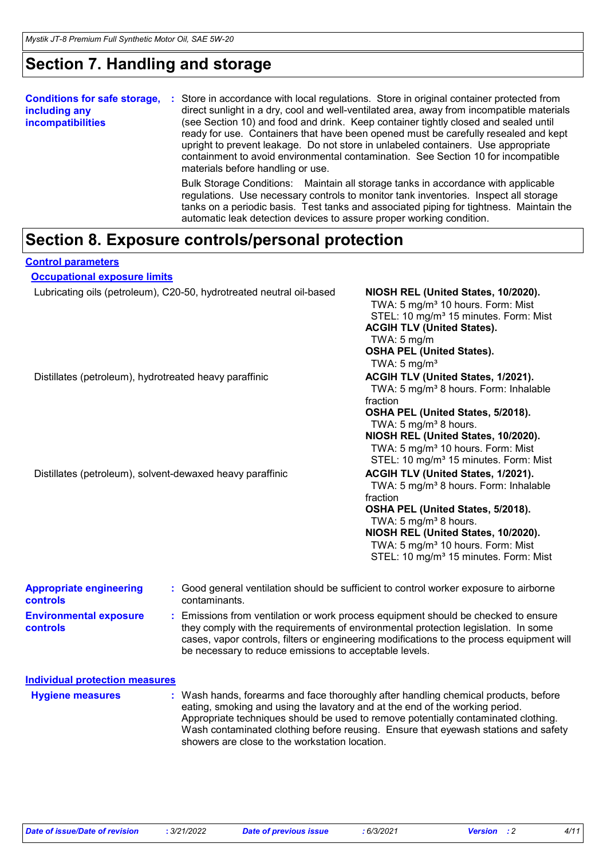# **Section 7. Handling and storage**

| <b>Conditions for safe storage,</b><br>including any<br>incompatibilities | Store in accordance with local regulations. Store in original container protected from<br>-11<br>direct sunlight in a dry, cool and well-ventilated area, away from incompatible materials<br>(see Section 10) and food and drink. Keep container tightly closed and sealed until<br>ready for use. Containers that have been opened must be carefully resealed and kept<br>upright to prevent leakage. Do not store in unlabeled containers. Use appropriate<br>containment to avoid environmental contamination. See Section 10 for incompatible<br>materials before handling or use. |  |  |  |
|---------------------------------------------------------------------------|-----------------------------------------------------------------------------------------------------------------------------------------------------------------------------------------------------------------------------------------------------------------------------------------------------------------------------------------------------------------------------------------------------------------------------------------------------------------------------------------------------------------------------------------------------------------------------------------|--|--|--|
|                                                                           | Bulk Storage Conditions: Maintain all storage tanks in accordance with applicable<br>regulations. Use necessary controls to monitor tank inventories. Inspect all storage<br>tanks on a periodic basis. Test tanks and associated piping for tightness. Maintain the<br>automatic leak detection devices to assure proper working condition.                                                                                                                                                                                                                                            |  |  |  |

## **Section 8. Exposure controls/personal protection**

### **Control parameters**

| <b>Occupational exposure limits</b>                    |                                                                      |                                                                                                                                                                                                                                                                                                                            |  |  |
|--------------------------------------------------------|----------------------------------------------------------------------|----------------------------------------------------------------------------------------------------------------------------------------------------------------------------------------------------------------------------------------------------------------------------------------------------------------------------|--|--|
|                                                        | Lubricating oils (petroleum), C20-50, hydrotreated neutral oil-based | NIOSH REL (United States, 10/2020).<br>TWA: 5 mg/m <sup>3</sup> 10 hours. Form: Mist<br>STEL: 10 mg/m <sup>3</sup> 15 minutes. Form: Mist<br><b>ACGIH TLV (United States).</b><br>TWA: $5 \text{ mg/m}$<br><b>OSHA PEL (United States).</b><br>TWA: $5 \text{ mg/m}^3$                                                     |  |  |
| Distillates (petroleum), hydrotreated heavy paraffinic |                                                                      | ACGIH TLV (United States, 1/2021).<br>TWA: 5 mg/m <sup>3</sup> 8 hours. Form: Inhalable<br>fraction<br>OSHA PEL (United States, 5/2018).<br>TWA: 5 mg/m <sup>3</sup> 8 hours.<br>NIOSH REL (United States, 10/2020).<br>TWA: 5 mg/m <sup>3</sup> 10 hours. Form: Mist<br>STEL: 10 mg/m <sup>3</sup> 15 minutes. Form: Mist |  |  |
|                                                        | Distillates (petroleum), solvent-dewaxed heavy paraffinic            | ACGIH TLV (United States, 1/2021).<br>TWA: 5 mg/m <sup>3</sup> 8 hours. Form: Inhalable<br>fraction<br>OSHA PEL (United States, 5/2018).<br>TWA: 5 mg/m <sup>3</sup> 8 hours.<br>NIOSH REL (United States, 10/2020).<br>TWA: 5 mg/m <sup>3</sup> 10 hours. Form: Mist<br>STEL: 10 mg/m <sup>3</sup> 15 minutes. Form: Mist |  |  |
| <b>Appropriate engineering</b><br>controls             | contaminants.                                                        | : Good general ventilation should be sufficient to control worker exposure to airborne                                                                                                                                                                                                                                     |  |  |
| <b>Environmental exposure</b>                          |                                                                      | : Emissions from ventilation or work process equipment should be checked to ensure                                                                                                                                                                                                                                         |  |  |

**controls**

**:** Emissions from ventilation or work process equipment should be checked to ensure they comply with the requirements of environmental protection legislation. In some cases, vapor controls, filters or engineering modifications to the process equipment will be necessary to reduce emissions to acceptable levels.

**Hygiene measures : Individual protection measures**

Wash hands, forearms and face thoroughly after handling chemical products, before eating, smoking and using the lavatory and at the end of the working period. Appropriate techniques should be used to remove potentially contaminated clothing. Wash contaminated clothing before reusing. Ensure that eyewash stations and safety showers are close to the workstation location.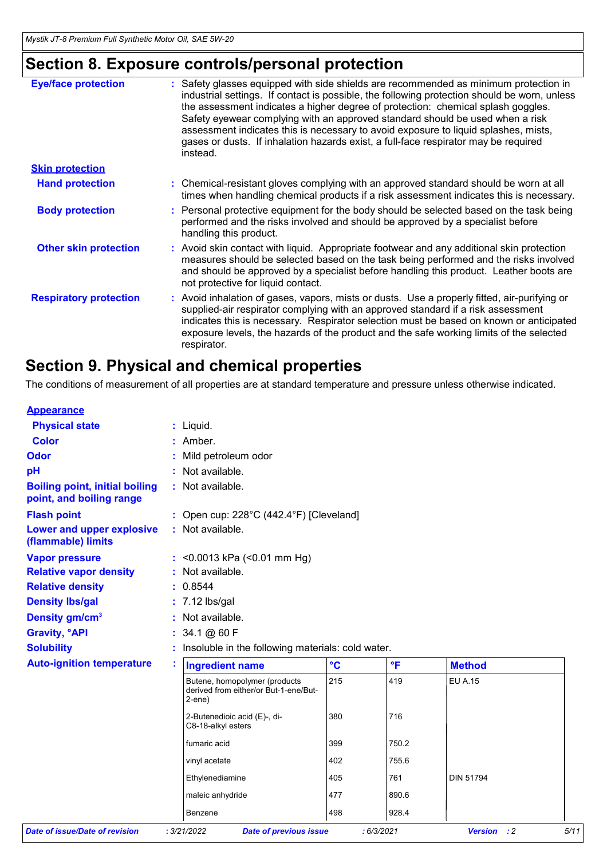# **Section 8. Exposure controls/personal protection**

| <b>Eye/face protection</b>    | : Safety glasses equipped with side shields are recommended as minimum protection in<br>industrial settings. If contact is possible, the following protection should be worn, unless<br>the assessment indicates a higher degree of protection: chemical splash goggles.<br>Safety eyewear complying with an approved standard should be used when a risk<br>assessment indicates this is necessary to avoid exposure to liquid splashes, mists,<br>gases or dusts. If inhalation hazards exist, a full-face respirator may be required<br>instead. |
|-------------------------------|-----------------------------------------------------------------------------------------------------------------------------------------------------------------------------------------------------------------------------------------------------------------------------------------------------------------------------------------------------------------------------------------------------------------------------------------------------------------------------------------------------------------------------------------------------|
| <b>Skin protection</b>        |                                                                                                                                                                                                                                                                                                                                                                                                                                                                                                                                                     |
| <b>Hand protection</b>        | : Chemical-resistant gloves complying with an approved standard should be worn at all<br>times when handling chemical products if a risk assessment indicates this is necessary.                                                                                                                                                                                                                                                                                                                                                                    |
| <b>Body protection</b>        | : Personal protective equipment for the body should be selected based on the task being<br>performed and the risks involved and should be approved by a specialist before<br>handling this product.                                                                                                                                                                                                                                                                                                                                                 |
| <b>Other skin protection</b>  | : Avoid skin contact with liquid. Appropriate footwear and any additional skin protection<br>measures should be selected based on the task being performed and the risks involved<br>and should be approved by a specialist before handling this product. Leather boots are<br>not protective for liquid contact.                                                                                                                                                                                                                                   |
| <b>Respiratory protection</b> | : Avoid inhalation of gases, vapors, mists or dusts. Use a properly fitted, air-purifying or<br>supplied-air respirator complying with an approved standard if a risk assessment<br>indicates this is necessary. Respirator selection must be based on known or anticipated<br>exposure levels, the hazards of the product and the safe working limits of the selected<br>respirator.                                                                                                                                                               |

## **Section 9. Physical and chemical properties**

The conditions of measurement of all properties are at standard temperature and pressure unless otherwise indicated.

| <b>Appearance</b>                                                 |   |                                                                                        |                 |              |                    |      |  |  |  |
|-------------------------------------------------------------------|---|----------------------------------------------------------------------------------------|-----------------|--------------|--------------------|------|--|--|--|
| <b>Physical state</b>                                             |   | : Liquid.                                                                              |                 |              |                    |      |  |  |  |
| <b>Color</b>                                                      |   | : Amber.                                                                               |                 |              |                    |      |  |  |  |
| <b>Odor</b>                                                       |   | Mild petroleum odor                                                                    |                 |              |                    |      |  |  |  |
| pH                                                                |   | Not available.                                                                         |                 |              |                    |      |  |  |  |
| <b>Boiling point, initial boiling</b><br>point, and boiling range |   | : Not available.                                                                       |                 |              |                    |      |  |  |  |
| <b>Flash point</b>                                                |   | : Open cup: $228^{\circ}$ C (442.4 $^{\circ}$ F) [Cleveland]                           |                 |              |                    |      |  |  |  |
| Lower and upper explosive<br>(flammable) limits                   |   | : Not available.                                                                       |                 |              |                    |      |  |  |  |
| <b>Vapor pressure</b>                                             |   | : < 0.0013 kPa (< 0.01 mm Hg)                                                          |                 |              |                    |      |  |  |  |
| <b>Relative vapor density</b>                                     |   | Not available.                                                                         |                 |              |                    |      |  |  |  |
| <b>Relative density</b>                                           |   | 0.8544                                                                                 |                 |              |                    |      |  |  |  |
| <b>Density Ibs/gal</b>                                            |   | $: 7.12$ lbs/gal                                                                       |                 |              |                    |      |  |  |  |
| Density gm/cm <sup>3</sup>                                        |   | Not available.                                                                         |                 |              |                    |      |  |  |  |
| <b>Gravity, °API</b>                                              |   | 34.1 @ 60 F                                                                            |                 |              |                    |      |  |  |  |
| <b>Solubility</b>                                                 |   | Insoluble in the following materials: cold water.                                      |                 |              |                    |      |  |  |  |
| <b>Auto-ignition temperature</b>                                  | t | <b>Ingredient name</b>                                                                 | $\rm ^{\circ}C$ | $\mathsf{P}$ | <b>Method</b>      |      |  |  |  |
|                                                                   |   | Butene, homopolymer (products<br>derived from either/or But-1-ene/But-<br>$2$ -ene $)$ | 215             | 419          | <b>EU A.15</b>     |      |  |  |  |
|                                                                   |   | 2-Butenedioic acid (E)-, di-<br>C8-18-alkyl esters                                     | 380             | 716          |                    |      |  |  |  |
|                                                                   |   | fumaric acid                                                                           | 399             | 750.2        |                    |      |  |  |  |
|                                                                   |   | vinyl acetate                                                                          | 402             | 755.6        |                    |      |  |  |  |
|                                                                   |   | Ethylenediamine                                                                        | 405             | 761          | <b>DIN 51794</b>   |      |  |  |  |
|                                                                   |   | maleic anhydride                                                                       | 477             | 890.6        |                    |      |  |  |  |
|                                                                   |   | <b>Benzene</b>                                                                         | 498             | 928.4        |                    |      |  |  |  |
| <b>Date of issue/Date of revision</b>                             |   | : 3/21/2022<br><b>Date of previous issue</b>                                           | : 6/3/2021      |              | <b>Version</b> : 2 | 5/11 |  |  |  |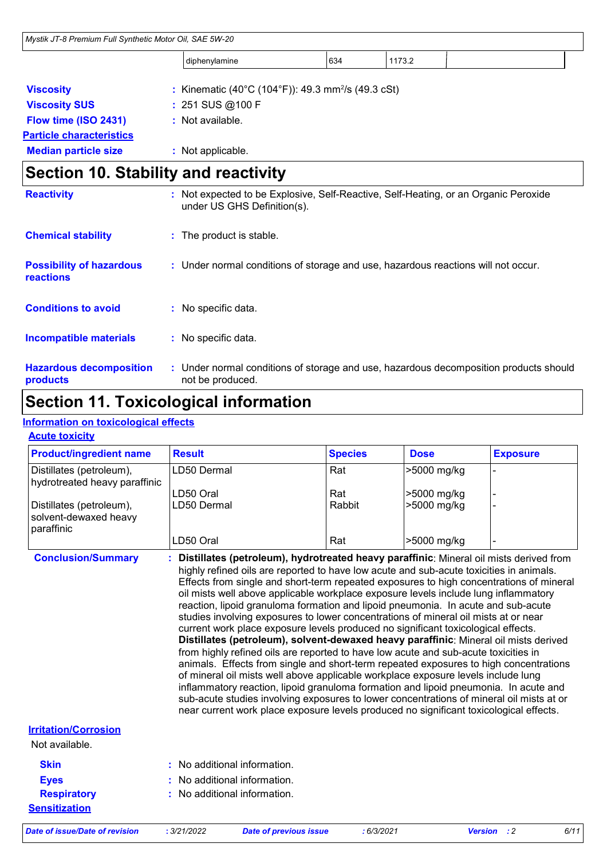| Mystik JT-8 Premium Full Synthetic Motor Oil, SAE 5W-20 |                                                                                                           |                                                                                   |                                                                |        |                                                                                     |
|---------------------------------------------------------|-----------------------------------------------------------------------------------------------------------|-----------------------------------------------------------------------------------|----------------------------------------------------------------|--------|-------------------------------------------------------------------------------------|
|                                                         |                                                                                                           | diphenylamine                                                                     | 634                                                            | 1173.2 |                                                                                     |
| <b>Viscosity</b>                                        |                                                                                                           |                                                                                   | : Kinematic (40°C (104°F)): 49.3 mm <sup>2</sup> /s (49.3 cSt) |        |                                                                                     |
| <b>Viscosity SUS</b>                                    |                                                                                                           | : 251 SUS @100 F                                                                  |                                                                |        |                                                                                     |
| Flow time (ISO 2431)                                    |                                                                                                           | : Not available.                                                                  |                                                                |        |                                                                                     |
| <b>Particle characteristics</b>                         |                                                                                                           |                                                                                   |                                                                |        |                                                                                     |
| <b>Median particle size</b>                             |                                                                                                           | : Not applicable.                                                                 |                                                                |        |                                                                                     |
| <b>Section 10. Stability and reactivity</b>             |                                                                                                           |                                                                                   |                                                                |        |                                                                                     |
| <b>Reactivity</b>                                       |                                                                                                           | under US GHS Definition(s).                                                       |                                                                |        | : Not expected to be Explosive, Self-Reactive, Self-Heating, or an Organic Peroxide |
| <b>Chemical stability</b>                               |                                                                                                           | : The product is stable.                                                          |                                                                |        |                                                                                     |
| <b>Possibility of hazardous</b><br><b>reactions</b>     |                                                                                                           | : Under normal conditions of storage and use, hazardous reactions will not occur. |                                                                |        |                                                                                     |
| <b>Conditions to avoid</b>                              |                                                                                                           | : No specific data.                                                               |                                                                |        |                                                                                     |
| <b>Incompatible materials</b>                           |                                                                                                           | : No specific data.                                                               |                                                                |        |                                                                                     |
| <b>Hazardous decomposition</b><br>products              | : Under normal conditions of storage and use, hazardous decomposition products should<br>not be produced. |                                                                                   |                                                                |        |                                                                                     |

# **Section 11. Toxicological information**

## **Information on toxicological effects**

**Acute toxicity**

| <b>Product/ingredient name</b>                                  | <b>Result</b>                                                                                                                                                                                                                                                                                                                                                                                                                                                                                                                                                                                                                                                                                                                                                                                                                                                                                                | <b>Species</b> | <b>Dose</b> | <b>Exposure</b> |
|-----------------------------------------------------------------|--------------------------------------------------------------------------------------------------------------------------------------------------------------------------------------------------------------------------------------------------------------------------------------------------------------------------------------------------------------------------------------------------------------------------------------------------------------------------------------------------------------------------------------------------------------------------------------------------------------------------------------------------------------------------------------------------------------------------------------------------------------------------------------------------------------------------------------------------------------------------------------------------------------|----------------|-------------|-----------------|
| Distillates (petroleum),<br>hydrotreated heavy paraffinic       | LD50 Dermal                                                                                                                                                                                                                                                                                                                                                                                                                                                                                                                                                                                                                                                                                                                                                                                                                                                                                                  | Rat            | >5000 mg/kg |                 |
|                                                                 | LD50 Oral                                                                                                                                                                                                                                                                                                                                                                                                                                                                                                                                                                                                                                                                                                                                                                                                                                                                                                    | Rat            | >5000 mg/kg |                 |
| Distillates (petroleum),<br>solvent-dewaxed heavy<br>paraffinic | LD50 Dermal                                                                                                                                                                                                                                                                                                                                                                                                                                                                                                                                                                                                                                                                                                                                                                                                                                                                                                  | Rabbit         | >5000 mg/kg |                 |
|                                                                 | LD50 Oral                                                                                                                                                                                                                                                                                                                                                                                                                                                                                                                                                                                                                                                                                                                                                                                                                                                                                                    | Rat            | >5000 mg/kg |                 |
| <b>Conclusion/Summary</b>                                       | Distillates (petroleum), hydrotreated heavy paraffinic: Mineral oil mists derived from<br>highly refined oils are reported to have low acute and sub-acute toxicities in animals.<br>Effects from single and short-term repeated exposures to high concentrations of mineral<br>oil mists well above applicable workplace exposure levels include lung inflammatory<br>reaction, lipoid granuloma formation and lipoid pneumonia. In acute and sub-acute<br>studies involving exposures to lower concentrations of mineral oil mists at or near<br>current work place exposure levels produced no significant toxicological effects.<br>Distillates (petroleum), solvent-dewaxed heavy paraffinic: Mineral oil mists derived<br>from highly refined oils are reported to have low acute and sub-acute toxicities in<br>animals. Effects from single and short-term repeated exposures to high concentrations |                |             |                 |

of mineral oil mists well above applicable workplace exposure levels include lung inflammatory reaction, lipoid granuloma formation and lipoid pneumonia. In acute and sub-acute studies involving exposures to lower concentrations of mineral oil mists at or near current work place exposure levels produced no significant toxicological effects.

**Irritation/Corrosion**

| Not available. |
|----------------|
|----------------|

| <b>Skin</b>          | : No additional information. |
|----------------------|------------------------------|
| <b>Eves</b>          | : No additional information. |
| <b>Respiratory</b>   | : No additional information. |
| <b>Sensitization</b> |                              |

*Date of issue/Date of revision* **:** *3/21/2022 Date of previous issue : 6/3/2021 Version : 2 6/11*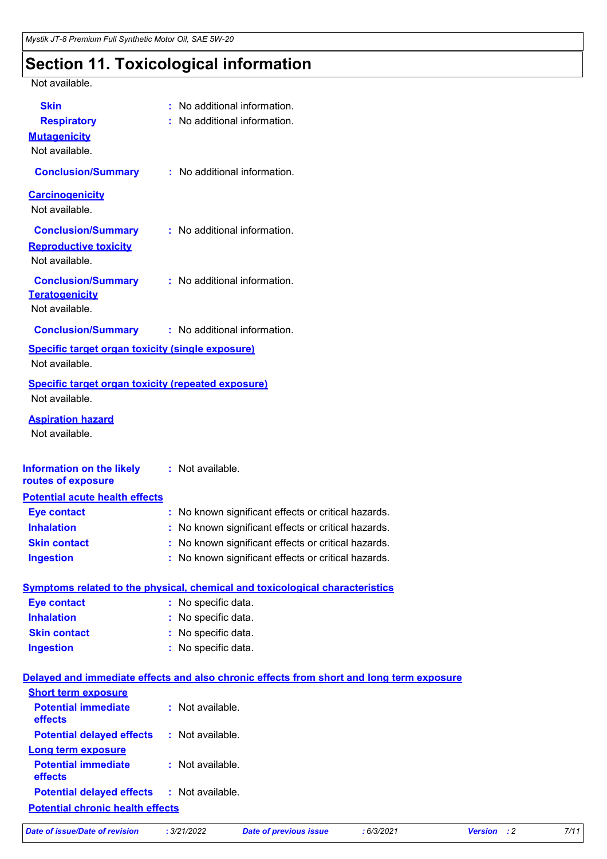# **Section 11. Toxicological information**

Not available.

| <b>Skin</b>                                               | : No additional information.                                                             |
|-----------------------------------------------------------|------------------------------------------------------------------------------------------|
| <b>Respiratory</b>                                        | : No additional information.                                                             |
| <b>Mutagenicity</b>                                       |                                                                                          |
| Not available.                                            |                                                                                          |
| <b>Conclusion/Summary</b>                                 | : No additional information.                                                             |
| <b>Carcinogenicity</b>                                    |                                                                                          |
| Not available.                                            |                                                                                          |
|                                                           |                                                                                          |
| <b>Conclusion/Summary</b>                                 | : No additional information.                                                             |
| <b>Reproductive toxicity</b>                              |                                                                                          |
| Not available.                                            |                                                                                          |
| <b>Conclusion/Summary</b>                                 | : No additional information.                                                             |
| <b>Teratogenicity</b>                                     |                                                                                          |
| Not available.                                            |                                                                                          |
| <b>Conclusion/Summary : No additional information.</b>    |                                                                                          |
| <b>Specific target organ toxicity (single exposure)</b>   |                                                                                          |
| Not available.                                            |                                                                                          |
| <b>Specific target organ toxicity (repeated exposure)</b> |                                                                                          |
| Not available.                                            |                                                                                          |
| <b>Aspiration hazard</b><br>Not available.                |                                                                                          |
|                                                           |                                                                                          |
| Information on the likely                                 | : Not available.                                                                         |
| routes of exposure                                        |                                                                                          |
| <b>Potential acute health effects</b>                     |                                                                                          |
| <b>Eye contact</b>                                        | : No known significant effects or critical hazards.                                      |
| <b>Inhalation</b>                                         | : No known significant effects or critical hazards.                                      |
| <b>Skin contact</b>                                       | No known significant effects or critical hazards.                                        |
| <b>Ingestion</b>                                          | : No known significant effects or critical hazards.                                      |
|                                                           |                                                                                          |
|                                                           | <b>Symptoms related to the physical, chemical and toxicological characteristics</b>      |
| <b>Eye contact</b>                                        | : No specific data.                                                                      |
| <b>Inhalation</b>                                         | : No specific data.                                                                      |
| <b>Skin contact</b>                                       | : No specific data.                                                                      |
| <b>Ingestion</b>                                          | : No specific data.                                                                      |
|                                                           | Delayed and immediate effects and also chronic effects from short and long term exposure |
| <b>Short term exposure</b>                                |                                                                                          |
| <b>Potential immediate</b><br>effects                     | : Not available.                                                                         |
| <b>Potential delayed effects</b>                          | : Not available.                                                                         |
| <b>Long term exposure</b>                                 |                                                                                          |
| <b>Potential immediate</b><br>effects                     | : Not available.                                                                         |
| <b>Potential delayed effects</b>                          | : Not available.                                                                         |

**Potential chronic health effects**

| Date of issue/Date of revision |  |
|--------------------------------|--|
|--------------------------------|--|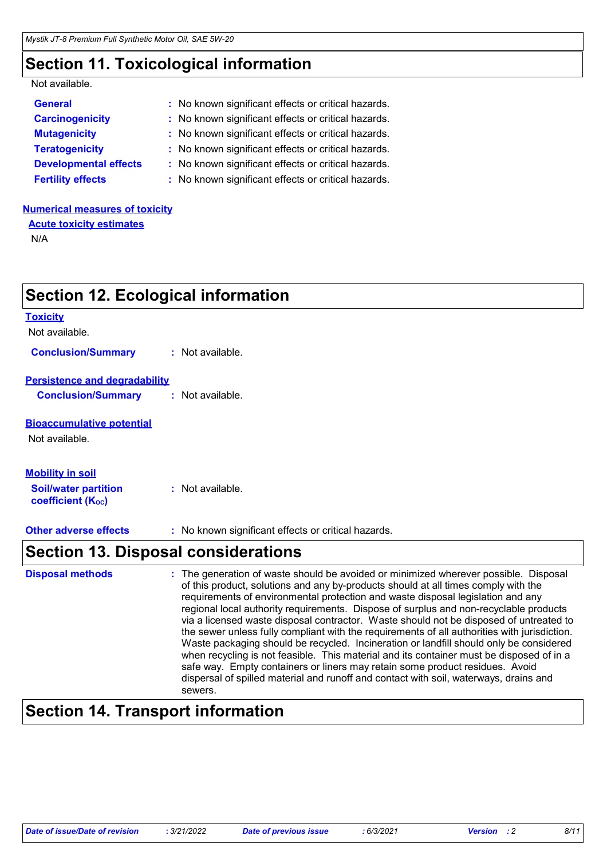# **Section 11. Toxicological information**

**Section 12. Ecological information**

| Not available. |  |
|----------------|--|
|----------------|--|

| : No known significant effects or critical hazards. |
|-----------------------------------------------------|
| : No known significant effects or critical hazards. |
| : No known significant effects or critical hazards. |
| : No known significant effects or critical hazards. |
| : No known significant effects or critical hazards. |
| : No known significant effects or critical hazards. |
|                                                     |

### **Numerical measures of toxicity**

**Acute toxicity estimates**

N/A

|                                                         | <u>ootion tar moologidal information</u>                                                                                                                                                                                                                                                                                                                                                                                                                                                                                                         |
|---------------------------------------------------------|--------------------------------------------------------------------------------------------------------------------------------------------------------------------------------------------------------------------------------------------------------------------------------------------------------------------------------------------------------------------------------------------------------------------------------------------------------------------------------------------------------------------------------------------------|
| <b>Toxicity</b>                                         |                                                                                                                                                                                                                                                                                                                                                                                                                                                                                                                                                  |
| Not available.                                          |                                                                                                                                                                                                                                                                                                                                                                                                                                                                                                                                                  |
| <b>Conclusion/Summary</b>                               | : Not available.                                                                                                                                                                                                                                                                                                                                                                                                                                                                                                                                 |
| <b>Persistence and degradability</b>                    |                                                                                                                                                                                                                                                                                                                                                                                                                                                                                                                                                  |
| <b>Conclusion/Summary</b>                               | : Not available.                                                                                                                                                                                                                                                                                                                                                                                                                                                                                                                                 |
| <b>Bioaccumulative potential</b>                        |                                                                                                                                                                                                                                                                                                                                                                                                                                                                                                                                                  |
| Not available.                                          |                                                                                                                                                                                                                                                                                                                                                                                                                                                                                                                                                  |
| <b>Mobility in soil</b>                                 |                                                                                                                                                                                                                                                                                                                                                                                                                                                                                                                                                  |
| <b>Soil/water partition</b><br><b>coefficient (Koc)</b> | : Not available.                                                                                                                                                                                                                                                                                                                                                                                                                                                                                                                                 |
| <b>Other adverse effects</b>                            | : No known significant effects or critical hazards.                                                                                                                                                                                                                                                                                                                                                                                                                                                                                              |
|                                                         | <b>Section 13. Disposal considerations</b>                                                                                                                                                                                                                                                                                                                                                                                                                                                                                                       |
| <b>Disposal methods</b>                                 | : The generation of waste should be avoided or minimized wherever possible. Disposal<br>of this product, solutions and any by-products should at all times comply with the<br>requirements of environmental protection and waste disposal legislation and any<br>regional local authority requirements. Dispose of surplus and non-recyclable products<br>via a licensed waste disposal contractor. Waste should not be disposed of untreated to<br>the sewer unless fully compliant with the requirements of all authorities with jurisdiction. |

## safe way. Empty containers or liners may retain some product residues. Avoid dispersal of spilled material and runoff and contact with soil, waterways, drains and sewers.

# **Section 14. Transport information**

Waste packaging should be recycled. Incineration or landfill should only be considered when recycling is not feasible. This material and its container must be disposed of in a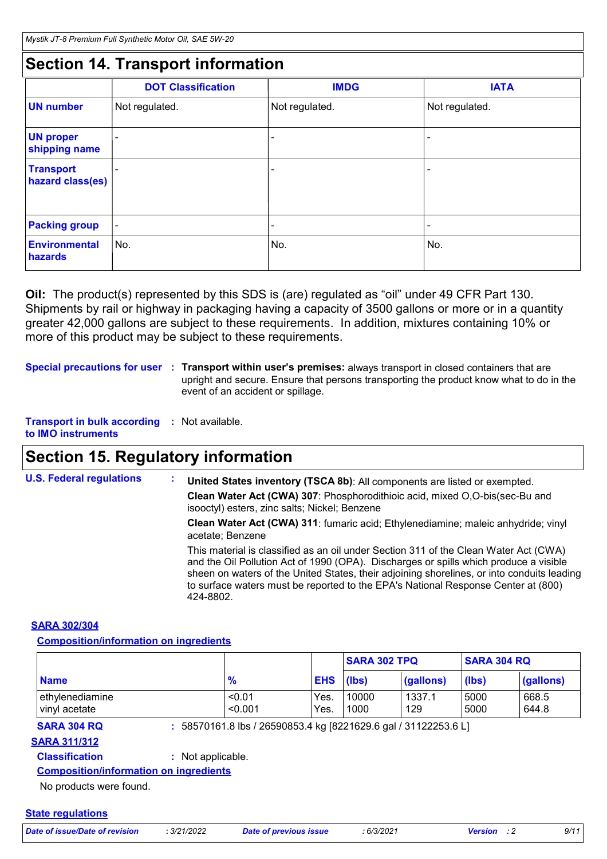## **Section 14. Transport information**

|                                      | <b>DOT Classification</b> | <b>IMDG</b>    | <b>IATA</b>    |
|--------------------------------------|---------------------------|----------------|----------------|
| <b>UN number</b>                     | Not regulated.            | Not regulated. | Not regulated. |
| <b>UN proper</b><br>shipping name    |                           |                | -              |
| <b>Transport</b><br>hazard class(es) |                           |                |                |
| <b>Packing group</b>                 | ۰                         | -              | -              |
| <b>Environmental</b><br>hazards      | No.                       | No.            | No.            |

**Oil:** The product(s) represented by this SDS is (are) regulated as "oil" under 49 CFR Part 130. Shipments by rail or highway in packaging having a capacity of 3500 gallons or more or in a quantity greater 42,000 gallons are subject to these requirements. In addition, mixtures containing 10% or more of this product may be subject to these requirements.

**Special precautions for user Transport within user's premises:** always transport in closed containers that are **:** upright and secure. Ensure that persons transporting the product know what to do in the event of an accident or spillage.

**Transport in bulk according :** Not available. **to IMO instruments**

# **Section 15. Regulatory information**

**U.S. Federal regulations : Clean Water Act (CWA) 307**: Phosphorodithioic acid, mixed O,O-bis(sec-Bu and isooctyl) esters, zinc salts; Nickel; Benzene **Clean Water Act (CWA) 311**: fumaric acid; Ethylenediamine; maleic anhydride; vinyl acetate; Benzene **United States inventory (TSCA 8b)**: All components are listed or exempted. This material is classified as an oil under Section 311 of the Clean Water Act (CWA) and the Oil Pollution Act of 1990 (OPA). Discharges or spills which produce a visible sheen on waters of the United States, their adjoining shorelines, or into conduits leading to surface waters must be reported to the EPA's National Response Center at (800) 424-8802.

## **SARA 302/304**

**Composition/information on ingredients**

|                                                                      |                   |                                                                 |              | <b>SARA 302 TPQ</b> |               | <b>SARA 304 RQ</b> |                |
|----------------------------------------------------------------------|-------------------|-----------------------------------------------------------------|--------------|---------------------|---------------|--------------------|----------------|
| <b>Name</b>                                                          |                   | $\frac{9}{6}$                                                   | <b>EHS</b>   | (Ibs)               | (gallons)     | (lbs)              | (gallons)      |
| ethylenediamine<br>vinyl acetate                                     |                   | < 0.01<br>< 0.001                                               | Yes.<br>Yes. | 10000<br>1000       | 1337.1<br>129 | 5000<br>5000       | 668.5<br>644.8 |
|                                                                      |                   |                                                                 |              |                     |               |                    |                |
| <b>SARA 304 RQ</b>                                                   |                   | : 58570161.8 lbs / 26590853.4 kg [8221629.6 gal / 31122253.6 L] |              |                     |               |                    |                |
|                                                                      |                   |                                                                 |              |                     |               |                    |                |
| <b>Classification</b>                                                | : Not applicable. |                                                                 |              |                     |               |                    |                |
| <b>SARA 311/312</b><br><b>Composition/information on ingredients</b> |                   |                                                                 |              |                     |               |                    |                |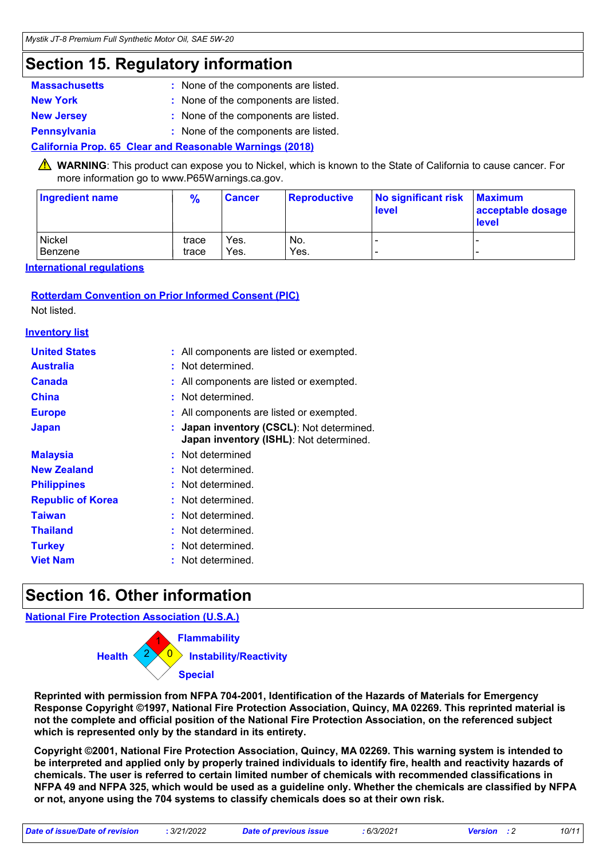# **Section 15. Regulatory information**

| <b>Massachusetts</b> | : None of the components are listed. |
|----------------------|--------------------------------------|
| <b>New York</b>      | : None of the components are listed. |
| <b>New Jersey</b>    | : None of the components are listed. |
| <b>Pennsylvania</b>  | : None of the components are listed. |

## **California Prop. 65 Clear and Reasonable Warnings (2018)**

**A** WARNING: This product can expose you to Nickel, which is known to the State of California to cause cancer. For more information go to www.P65Warnings.ca.gov.

| <b>Ingredient name</b> | $\frac{9}{6}$ | <b>Cancer</b> | <b>Reproductive</b> | No significant risk<br><b>level</b> | <b>Maximum</b><br>acceptable dosage<br><b>level</b> |
|------------------------|---------------|---------------|---------------------|-------------------------------------|-----------------------------------------------------|
| Nickel                 | trace         | Yes.          | No.                 | -                                   |                                                     |
| Benzene                | trace         | Yes.          | Yes.                | $\overline{\phantom{0}}$            |                                                     |

**International regulations**

## **Rotterdam Convention on Prior Informed Consent (PIC)**

Not listed.

### **Inventory list**

| <b>United States</b>     | : All components are listed or exempted.                                             |
|--------------------------|--------------------------------------------------------------------------------------|
| <b>Australia</b>         | : Not determined.                                                                    |
| <b>Canada</b>            | : All components are listed or exempted.                                             |
| <b>China</b>             | : Not determined.                                                                    |
| <b>Europe</b>            | : All components are listed or exempted.                                             |
| <b>Japan</b>             | : Japan inventory (CSCL): Not determined.<br>Japan inventory (ISHL): Not determined. |
| <b>Malaysia</b>          | : Not determined                                                                     |
| <b>New Zealand</b>       | : Not determined.                                                                    |
| <b>Philippines</b>       | : Not determined.                                                                    |
| <b>Republic of Korea</b> | : Not determined.                                                                    |
| <b>Taiwan</b>            | : Not determined.                                                                    |
| <b>Thailand</b>          | : Not determined.                                                                    |
| <b>Turkey</b>            | : Not determined.                                                                    |
| <b>Viet Nam</b>          | : Not determined.                                                                    |

# **Section 16. Other information**

**National Fire Protection Association (U.S.A.)**



**Reprinted with permission from NFPA 704-2001, Identification of the Hazards of Materials for Emergency Response Copyright ©1997, National Fire Protection Association, Quincy, MA 02269. This reprinted material is not the complete and official position of the National Fire Protection Association, on the referenced subject which is represented only by the standard in its entirety.**

**Copyright ©2001, National Fire Protection Association, Quincy, MA 02269. This warning system is intended to be interpreted and applied only by properly trained individuals to identify fire, health and reactivity hazards of chemicals. The user is referred to certain limited number of chemicals with recommended classifications in NFPA 49 and NFPA 325, which would be used as a guideline only. Whether the chemicals are classified by NFPA or not, anyone using the 704 systems to classify chemicals does so at their own risk.**